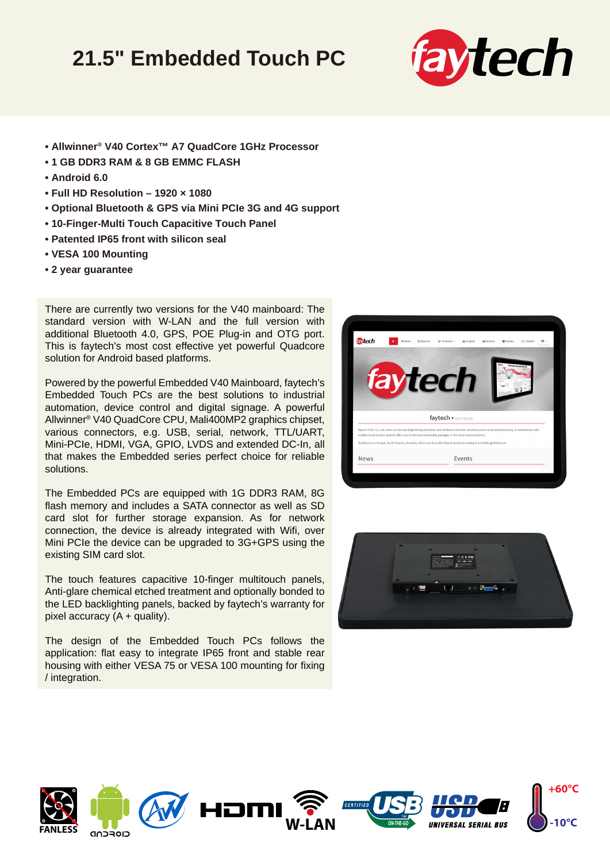## **21.5" Embedded Touch PC**



- **Allwinner® V40 Cortex™ A7 QuadCore 1GHz Processor**
- **1 GB DDR3 RAM & 8 GB EMMC FLASH**
- **Android 6.0**
- **Full HD Resolution 1920 × 1080**
- **Optional Bluetooth & GPS via Mini PCIe 3G and 4G support**
- **10-Finger-Multi Touch Capacitive Touch Panel**
- **Patented IP65 front with silicon seal**
- **VESA 100 Mounting**
- **2 year guarantee**

There are currently two versions for the V40 mainboard: The standard version with W-LAN and the full version with additional Bluetooth 4.0, GPS, POE Plug-in and OTG port. This is faytech's most cost effective yet powerful Quadcore solution for Android based platforms.

Powered by the powerful Embedded V40 Mainboard, faytech's Embedded Touch PCs are the best solutions to industrial automation, device control and digital signage. A powerful Allwinner® V40 QuadCore CPU, Mali400MP2 graphics chipset, various connectors, e.g. USB, serial, network, TTL/UART, Mini-PCIe, HDMI, VGA, GPIO, LVDS and extended DC-In, all that makes the Embedded series perfect choice for reliable solutions.

The Embedded PCs are equipped with 1G DDR3 RAM, 8G flash memory and includes a SATA connector as well as SD card slot for further storage expansion. As for network connection, the device is already integrated with Wifi, over Mini PCIe the device can be upgraded to 3G+GPS using the existing SIM card slot.

The touch features capacitive 10-finger multitouch panels, Anti-glare chemical etched treatment and optionally bonded to the LED backlighting panels, backed by faytech's warranty for pixel accuracy  $(A +$  quality).

The design of the Embedded Touch PCs follows the application: flat easy to integrate IP65 front and stable rear housing with either VESA 75 or VESA 100 mounting for fixing / integration.